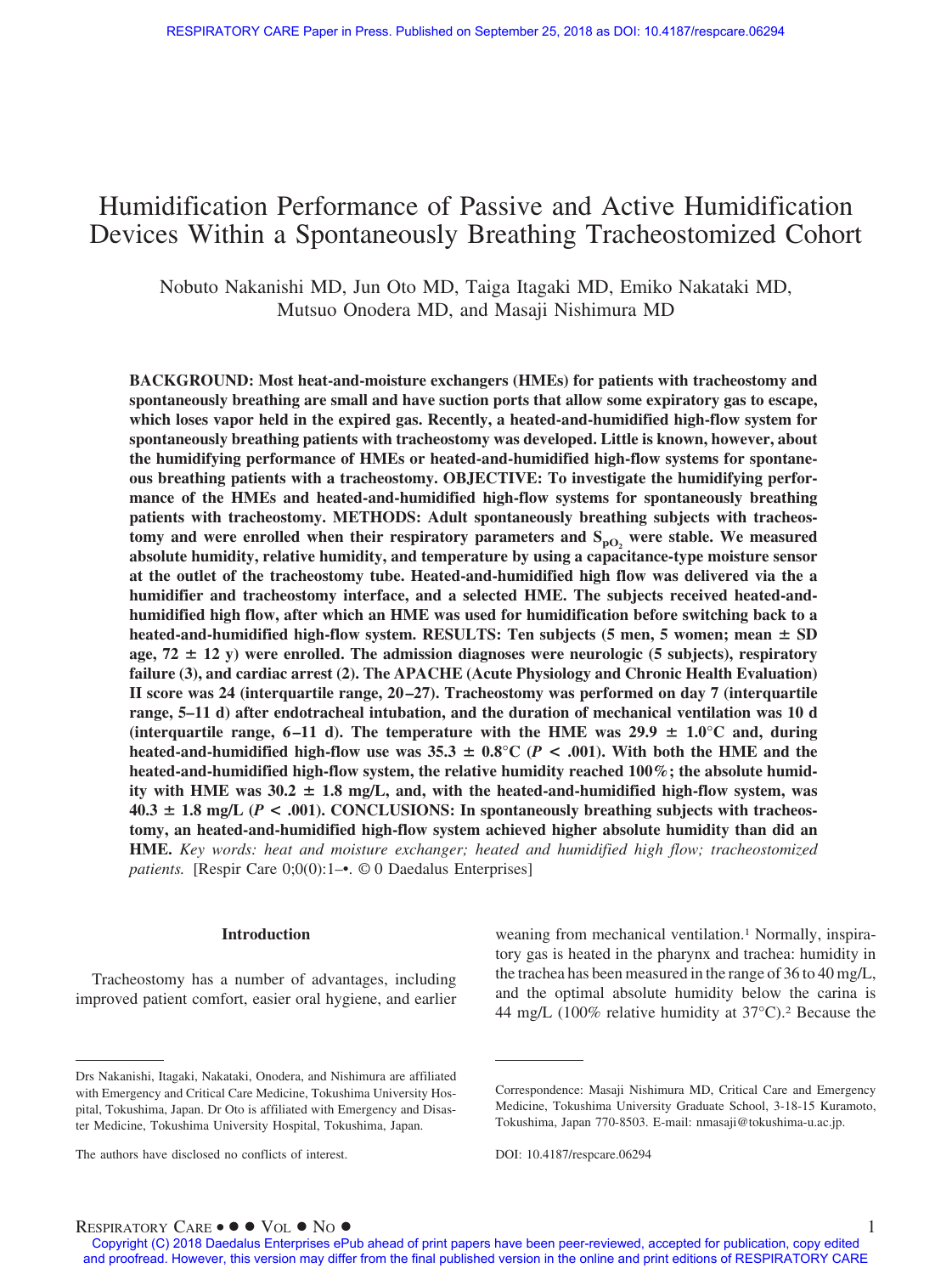# Humidification Performance of Passive and Active Humidification Devices Within a Spontaneously Breathing Tracheostomized Cohort

Nobuto Nakanishi MD, Jun Oto MD, Taiga Itagaki MD, Emiko Nakataki MD, Mutsuo Onodera MD, and Masaji Nishimura MD

**BACKGROUND: Most heat-and-moisture exchangers (HMEs) for patients with tracheostomy and spontaneously breathing are small and have suction ports that allow some expiratory gas to escape, which loses vapor held in the expired gas. Recently, a heated-and-humidified high-flow system for spontaneously breathing patients with tracheostomy was developed. Little is known, however, about the humidifying performance of HMEs or heated-and-humidified high-flow systems for spontaneous breathing patients with a tracheostomy. OBJECTIVE: To investigate the humidifying performance of the HMEs and heated-and-humidified high-flow systems for spontaneously breathing patients with tracheostomy. METHODS: Adult spontaneously breathing subjects with tracheos**tomy and were enrolled when their respiratory parameters and  $S_{pQ_2}$  were stable. We measured **absolute humidity, relative humidity, and temperature by using a capacitance-type moisture sensor at the outlet of the tracheostomy tube. Heated-and-humidified high flow was delivered via the a humidifier and tracheostomy interface, and a selected HME. The subjects received heated-andhumidified high flow, after which an HME was used for humidification before switching back to a** heated-and-humidified high-flow system. RESULTS: Ten subjects (5 men, 5 women; mean  $\pm$  SD age, 72  $\pm$  12 y) were enrolled. The admission diagnoses were neurologic (5 subjects), respiratory **failure (3), and cardiac arrest (2). The APACHE (Acute Physiology and Chronic Health Evaluation) II score was 24 (interquartile range, 20 –27). Tracheostomy was performed on day 7 (interquartile range, 5–11 d) after endotracheal intubation, and the duration of mechanical ventilation was 10 d** (interquartile range,  $6-11$  d). The temperature with the HME was  $29.9 \pm 1.0^{\circ}$ C and, during heated-and-humidified high-flow use was  $35.3 \pm 0.8^{\circ}$  C (*P* < .001). With both the HME and the **heated-and-humidified high-flow system, the relative humidity reached 100%; the absolute humid**ity with HME was  $30.2 \pm 1.8$  mg/L, and, with the heated-and-humidified high-flow system, was  $40.3 \pm 1.8$  mg/L ( $P < .001$ ). CONCLUSIONS: In spontaneously breathing subjects with tracheos**tomy, an heated-and-humidified high-flow system achieved higher absolute humidity than did an HME.** *Key words: heat and moisture exchanger; heated and humidified high flow; tracheostomized patients.* [Respir Care 0;0(0):1–•. © 0 Daedalus Enterprises]

## **Introduction**

Tracheostomy has a number of advantages, including improved patient comfort, easier oral hygiene, and earlier weaning from mechanical ventilation.<sup>1</sup> Normally, inspiratory gas is heated in the pharynx and trachea: humidity in the trachea has been measured in the range of 36 to 40 mg/L, and the optimal absolute humidity below the carina is 44 mg/L (100% relative humidity at  $37^{\circ}$ C).<sup>2</sup> Because the

Drs Nakanishi, Itagaki, Nakataki, Onodera, and Nishimura are affiliated with Emergency and Critical Care Medicine, Tokushima University Hospital, Tokushima, Japan. Dr Oto is affiliated with Emergency and Disaster Medicine, Tokushima University Hospital, Tokushima, Japan.

The authors have disclosed no conflicts of interest.

Correspondence: Masaji Nishimura MD, Critical Care and Emergency Medicine, Tokushima University Graduate School, 3-18-15 Kuramoto, Tokushima, Japan 770-8503. E-mail: nmasaji@tokushima-u.ac.jp.

DOI: 10.4187/respcare.06294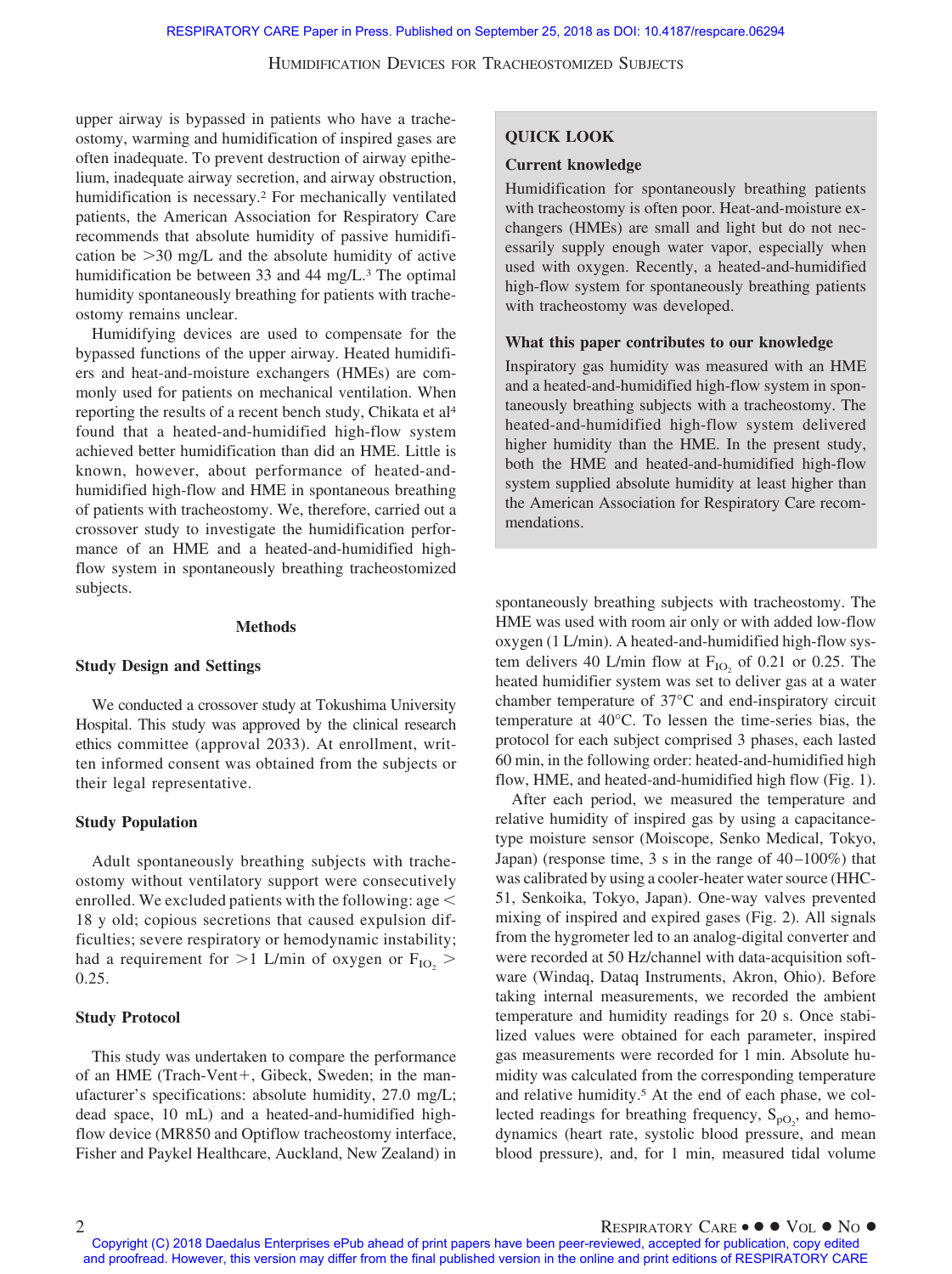upper airway is bypassed in patients who have a tracheostomy, warming and humidification of inspired gases are often inadequate. To prevent destruction of airway epithelium, inadequate airway secretion, and airway obstruction, humidification is necessary.2 For mechanically ventilated patients, the American Association for Respiratory Care recommends that absolute humidity of passive humidification be  $>$  30 mg/L and the absolute humidity of active humidification be between 33 and 44 mg/L.<sup>3</sup> The optimal humidity spontaneously breathing for patients with tracheostomy remains unclear.

Humidifying devices are used to compensate for the bypassed functions of the upper airway. Heated humidifiers and heat-and-moisture exchangers (HMEs) are commonly used for patients on mechanical ventilation. When reporting the results of a recent bench study, Chikata et al4 found that a heated-and-humidified high-flow system achieved better humidification than did an HME. Little is known, however, about performance of heated-andhumidified high-flow and HME in spontaneous breathing of patients with tracheostomy. We, therefore, carried out a crossover study to investigate the humidification performance of an HME and a heated-and-humidified highflow system in spontaneously breathing tracheostomized subjects.

#### **Methods**

#### **Study Design and Settings**

We conducted a crossover study at Tokushima University Hospital. This study was approved by the clinical research ethics committee (approval 2033). At enrollment, written informed consent was obtained from the subjects or their legal representative.

#### **Study Population**

Adult spontaneously breathing subjects with tracheostomy without ventilatory support were consecutively enrolled. We excluded patients with the following: age  $\leq$ 18 y old; copious secretions that caused expulsion difficulties; severe respiratory or hemodynamic instability; had a requirement for  $>$ 1 L/min of oxygen or  $F_{IO_2}$   $>$ 0.25.

## **Study Protocol**

This study was undertaken to compare the performance of an HME (Trach-Vent+, Gibeck, Sweden; in the manufacturer's specifications: absolute humidity, 27.0 mg/L; dead space, 10 mL) and a heated-and-humidified highflow device (MR850 and Optiflow tracheostomy interface, Fisher and Paykel Healthcare, Auckland, New Zealand) in

# **QUICK LOOK**

#### **Current knowledge**

Humidification for spontaneously breathing patients with tracheostomy is often poor. Heat-and-moisture exchangers (HMEs) are small and light but do not necessarily supply enough water vapor, especially when used with oxygen. Recently, a heated-and-humidified high-flow system for spontaneously breathing patients with tracheostomy was developed.

## **What this paper contributes to our knowledge**

Inspiratory gas humidity was measured with an HME and a heated-and-humidified high-flow system in spontaneously breathing subjects with a tracheostomy. The heated-and-humidified high-flow system delivered higher humidity than the HME. In the present study, both the HME and heated-and-humidified high-flow system supplied absolute humidity at least higher than the American Association for Respiratory Care recommendations.

spontaneously breathing subjects with tracheostomy. The HME was used with room air only or with added low-flow oxygen (1 L/min). A heated-and-humidified high-flow system delivers 40 L/min flow at  $F_{IO}$  of 0.21 or 0.25. The heated humidifier system was set to deliver gas at a water chamber temperature of 37°C and end-inspiratory circuit temperature at 40°C. To lessen the time-series bias, the protocol for each subject comprised 3 phases, each lasted 60 min, in the following order: heated-and-humidified high flow, HME, and heated-and-humidified high flow (Fig. 1).

After each period, we measured the temperature and relative humidity of inspired gas by using a capacitancetype moisture sensor (Moiscope, Senko Medical, Tokyo, Japan) (response time, 3 s in the range of 40–100%) that was calibrated by using a cooler-heater water source (HHC-51, Senkoika, Tokyo, Japan). One-way valves prevented mixing of inspired and expired gases (Fig. 2). All signals from the hygrometer led to an analog-digital converter and were recorded at 50 Hz/channel with data-acquisition software (Windaq, Dataq Instruments, Akron, Ohio). Before taking internal measurements, we recorded the ambient temperature and humidity readings for 20 s. Once stabilized values were obtained for each parameter, inspired gas measurements were recorded for 1 min. Absolute humidity was calculated from the corresponding temperature and relative humidity.<sup>5</sup> At the end of each phase, we collected readings for breathing frequency,  $S_{pQ_2}$ , and hemodynamics (heart rate, systolic blood pressure, and mean blood pressure), and, for 1 min, measured tidal volume

Copyright (C) 2018 Daedalus Enterprises ePub ahead of print papers have been peer-reviewed, accepted for publication, copy edited and proofread. However, this version may differ from the final published version in the online and print editions of RESPIRATORY CARE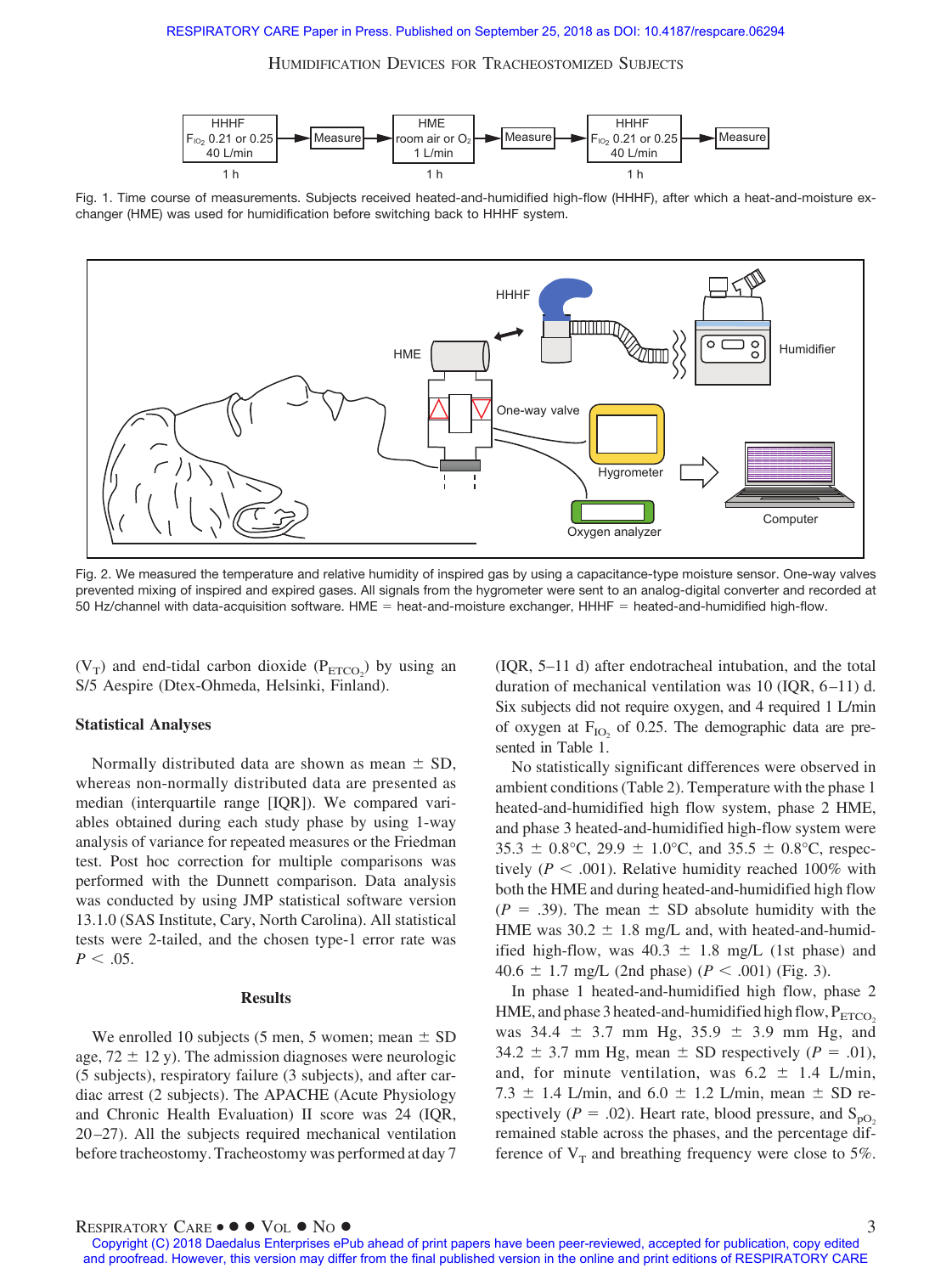

Fig. 1. Time course of measurements. Subjects received heated-and-humidified high-flow (HHHF), after which a heat-and-moisture exchanger (HME) was used for humidification before switching back to HHHF system.



Fig. 2. We measured the temperature and relative humidity of inspired gas by using a capacitance-type moisture sensor. One-way valves prevented mixing of inspired and expired gases. All signals from the hygrometer were sent to an analog-digital converter and recorded at 50 Hz/channel with data-acquisition software. HME = heat-and-moisture exchanger, HHHF = heated-and-humidified high-flow.

 $(V_T)$  and end-tidal carbon dioxide  $(P_{ETCO_2})$  by using an S/5 Aespire (Dtex-Ohmeda, Helsinki, Finland).

# **Statistical Analyses**

Normally distributed data are shown as mean  $\pm$  SD, whereas non-normally distributed data are presented as median (interquartile range [IQR]). We compared variables obtained during each study phase by using 1-way analysis of variance for repeated measures or the Friedman test. Post hoc correction for multiple comparisons was performed with the Dunnett comparison. Data analysis was conducted by using JMP statistical software version 13.1.0 (SAS Institute, Cary, North Carolina). All statistical tests were 2-tailed, and the chosen type-1 error rate was  $P < .05$ .

## **Results**

We enrolled 10 subjects (5 men, 5 women; mean  $\pm$  SD age,  $72 \pm 12$  y). The admission diagnoses were neurologic (5 subjects), respiratory failure (3 subjects), and after cardiac arrest (2 subjects). The APACHE (Acute Physiology and Chronic Health Evaluation) II score was 24 (IQR, 20–27). All the subjects required mechanical ventilation before tracheostomy. Tracheostomy was performed at day 7 (IQR, 5–11 d) after endotracheal intubation, and the total duration of mechanical ventilation was 10 (IQR, 6–11) d. Six subjects did not require oxygen, and 4 required 1 L/min of oxygen at  $F_{IO}$  of 0.25. The demographic data are presented in Table 1.

No statistically significant differences were observed in ambient conditions (Table 2). Temperature with the phase 1 heated-and-humidified high flow system, phase 2 HME, and phase 3 heated-and-humidified high-flow system were 35.3  $\pm$  0.8°C, 29.9  $\pm$  1.0°C, and 35.5  $\pm$  0.8°C, respectively ( $P < .001$ ). Relative humidity reached 100% with both the HME and during heated-and-humidified high flow  $(P = .39)$ . The mean  $\pm$  SD absolute humidity with the HME was  $30.2 \pm 1.8$  mg/L and, with heated-and-humidified high-flow, was  $40.3 \pm 1.8$  mg/L (1st phase) and 40.6  $\pm$  1.7 mg/L (2nd phase) (*P* < .001) (Fig. 3).

In phase 1 heated-and-humidified high flow, phase 2 HME, and phase 3 heated-and-humidified high flow,  $P_{ETCO_2}$ was  $34.4 \pm 3.7$  mm Hg,  $35.9 \pm 3.9$  mm Hg, and 34.2  $\pm$  3.7 mm Hg, mean  $\pm$  SD respectively ( $P = .01$ ), and, for minute ventilation, was  $6.2 \pm 1.4$  L/min, 7.3  $\pm$  1.4 L/min, and 6.0  $\pm$  1.2 L/min, mean  $\pm$  SD respectively ( $P = .02$ ). Heart rate, blood pressure, and S<sub>pO<sub>2</sub></sub> remained stable across the phases, and the percentage difference of  $V_T$  and breathing frequency were close to 5%.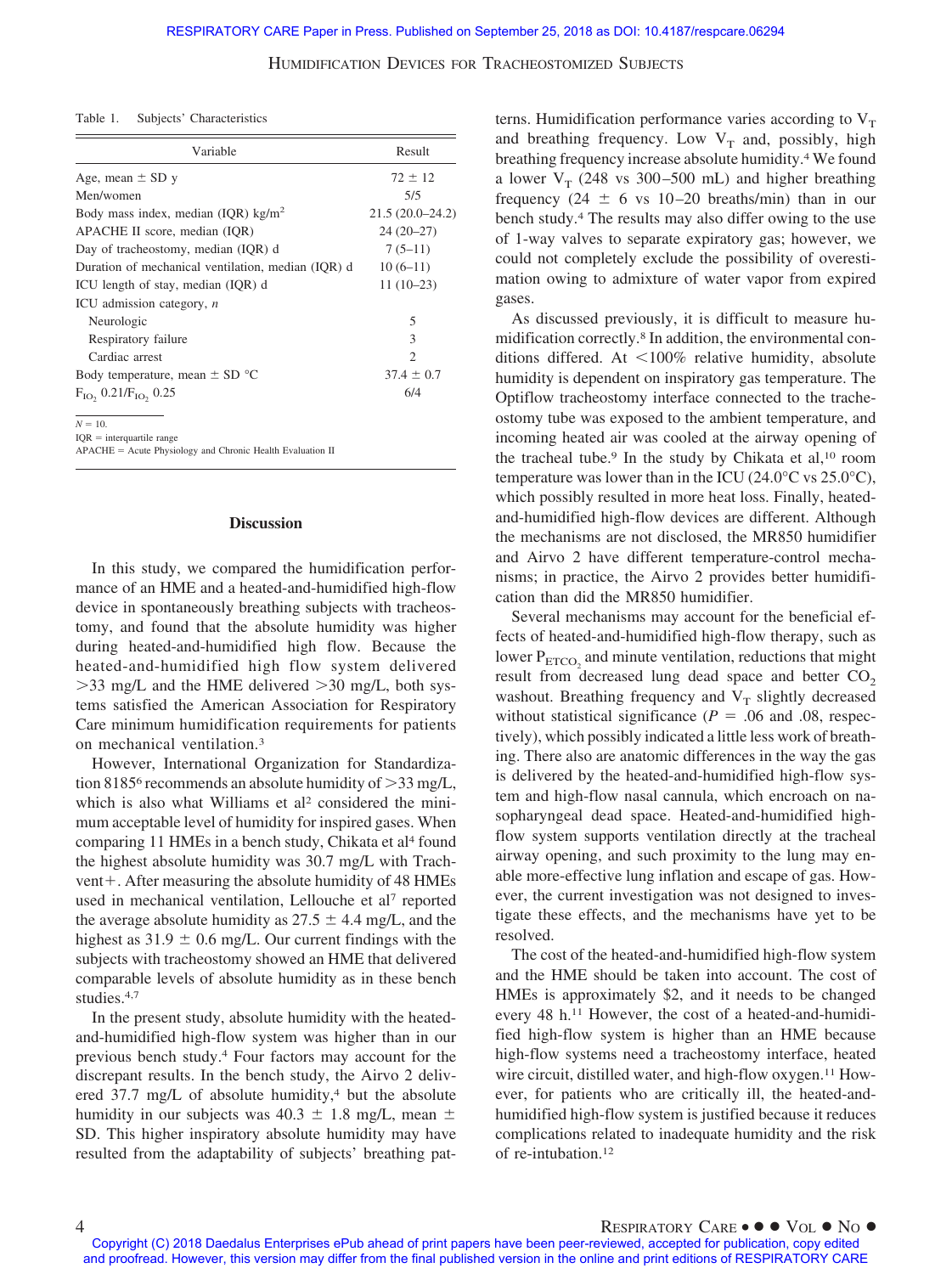Table 1. Subjects' Characteristics

| Variable                                           | Result            |
|----------------------------------------------------|-------------------|
| Age, mean $\pm$ SD y                               | $72 \pm 12$       |
| Men/women                                          | 5/5               |
| Body mass index, median (IQR) $\text{kg/m}^2$      | $21.5(20.0-24.2)$ |
| APACHE II score, median (IQR)                      | $24(20-27)$       |
| Day of tracheostomy, median (IQR) d                | $7(5-11)$         |
| Duration of mechanical ventilation, median (IQR) d | $10(6-11)$        |
| ICU length of stay, median (IQR) d                 | $11(10-23)$       |
| ICU admission category, n                          |                   |
| Neurologic                                         | 5                 |
| Respiratory failure                                | 3                 |
| Cardiac arrest                                     | $\mathcal{D}$     |
| Body temperature, mean $\pm$ SD $^{\circ}$ C       | $37.4 \pm 0.7$    |
| $F_{IO}$ , 0.21/ $F_{IO}$ , 0.25                   | 6/4               |

 $N = 10$ .

 $IOR = interquartile range$ 

APACHE = Acute Physiology and Chronic Health Evaluation II

#### **Discussion**

In this study, we compared the humidification performance of an HME and a heated-and-humidified high-flow device in spontaneously breathing subjects with tracheostomy, and found that the absolute humidity was higher during heated-and-humidified high flow. Because the heated-and-humidified high flow system delivered  $>$ 33 mg/L and the HME delivered  $>$ 30 mg/L, both systems satisfied the American Association for Respiratory Care minimum humidification requirements for patients on mechanical ventilation.3

However, International Organization for Standardization 8185<sup>6</sup> recommends an absolute humidity of  $>$ 33 mg/L, which is also what Williams et al<sup>2</sup> considered the minimum acceptable level of humidity for inspired gases. When comparing 11 HMEs in a bench study, Chikata et al<sup>4</sup> found the highest absolute humidity was 30.7 mg/L with Trachvent+. After measuring the absolute humidity of 48 HMEs used in mechanical ventilation, Lellouche et al<sup>7</sup> reported the average absolute humidity as  $27.5 \pm 4.4$  mg/L, and the highest as  $31.9 \pm 0.6$  mg/L. Our current findings with the subjects with tracheostomy showed an HME that delivered comparable levels of absolute humidity as in these bench studies.4,7

In the present study, absolute humidity with the heatedand-humidified high-flow system was higher than in our previous bench study.4 Four factors may account for the discrepant results. In the bench study, the Airvo 2 delivered  $37.7 \text{ mg/L}$  of absolute humidity,<sup>4</sup> but the absolute humidity in our subjects was  $40.3 \pm 1.8$  mg/L, mean  $\pm$ SD. This higher inspiratory absolute humidity may have resulted from the adaptability of subjects' breathing patterns. Humidification performance varies according to  $V<sub>T</sub>$ and breathing frequency. Low  $V_T$  and, possibly, high breathing frequency increase absolute humidity.4 We found a lower  $V_T$  (248 vs 300–500 mL) and higher breathing frequency (24  $\pm$  6 vs 10–20 breaths/min) than in our bench study.4 The results may also differ owing to the use of 1-way valves to separate expiratory gas; however, we could not completely exclude the possibility of overestimation owing to admixture of water vapor from expired gases.

As discussed previously, it is difficult to measure humidification correctly.8 In addition, the environmental conditions differed. At  $\leq 100\%$  relative humidity, absolute humidity is dependent on inspiratory gas temperature. The Optiflow tracheostomy interface connected to the tracheostomy tube was exposed to the ambient temperature, and incoming heated air was cooled at the airway opening of the tracheal tube.<sup>9</sup> In the study by Chikata et al,<sup>10</sup> room temperature was lower than in the ICU (24.0 $\degree$ C vs 25.0 $\degree$ C), which possibly resulted in more heat loss. Finally, heatedand-humidified high-flow devices are different. Although the mechanisms are not disclosed, the MR850 humidifier and Airvo 2 have different temperature-control mechanisms; in practice, the Airvo 2 provides better humidification than did the MR850 humidifier.

Several mechanisms may account for the beneficial effects of heated-and-humidified high-flow therapy, such as lower  $P_{ETCO_2}$  and minute ventilation, reductions that might result from decreased lung dead space and better  $CO<sub>2</sub>$ washout. Breathing frequency and  $V_T$  slightly decreased without statistical significance ( $P = .06$  and .08, respectively), which possibly indicated a little less work of breathing. There also are anatomic differences in the way the gas is delivered by the heated-and-humidified high-flow system and high-flow nasal cannula, which encroach on nasopharyngeal dead space. Heated-and-humidified highflow system supports ventilation directly at the tracheal airway opening, and such proximity to the lung may enable more-effective lung inflation and escape of gas. However, the current investigation was not designed to investigate these effects, and the mechanisms have yet to be resolved.

The cost of the heated-and-humidified high-flow system and the HME should be taken into account. The cost of HMEs is approximately \$2, and it needs to be changed every 48 h.11 However, the cost of a heated-and-humidified high-flow system is higher than an HME because high-flow systems need a tracheostomy interface, heated wire circuit, distilled water, and high-flow oxygen.<sup>11</sup> However, for patients who are critically ill, the heated-andhumidified high-flow system is justified because it reduces complications related to inadequate humidity and the risk of re-intubation.12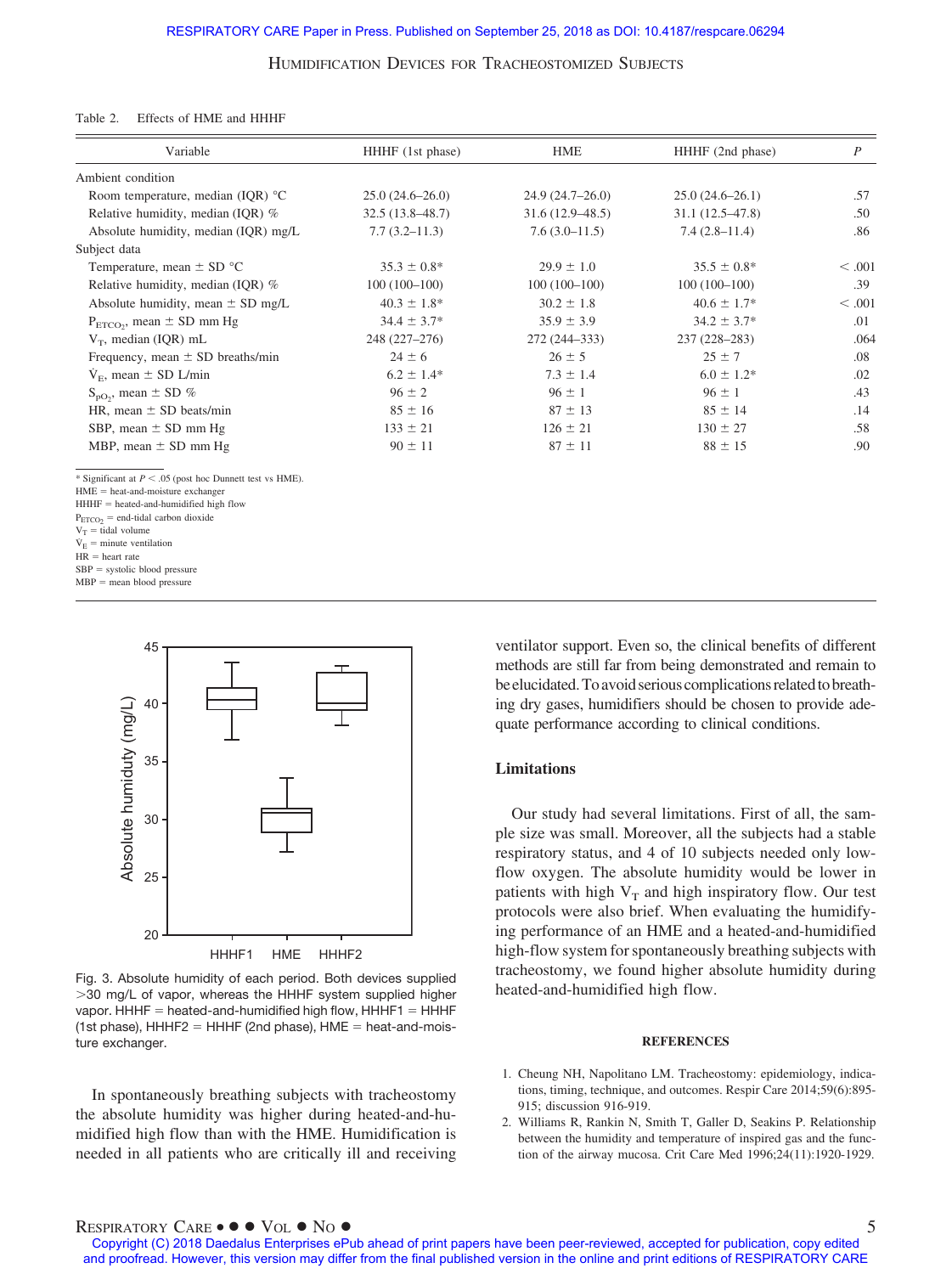#### Table 2. Effects of HME and HHHF

| Variable                                                                                                                                                                                                                                                                                                                                   | HHHF (1st phase)    | <b>HME</b>          | HHHF (2nd phase)    | $\boldsymbol{P}$ |
|--------------------------------------------------------------------------------------------------------------------------------------------------------------------------------------------------------------------------------------------------------------------------------------------------------------------------------------------|---------------------|---------------------|---------------------|------------------|
| Ambient condition                                                                                                                                                                                                                                                                                                                          |                     |                     |                     |                  |
| Room temperature, median (IQR) $^{\circ}$ C                                                                                                                                                                                                                                                                                                | $25.0(24.6-26.0)$   | $24.9(24.7-26.0)$   | $25.0(24.6-26.1)$   | .57              |
| Relative humidity, median (IQR) %                                                                                                                                                                                                                                                                                                          | $32.5(13.8 - 48.7)$ | $31.6(12.9 - 48.5)$ | $31.1(12.5 - 47.8)$ | .50              |
| Absolute humidity, median (IQR) mg/L                                                                                                                                                                                                                                                                                                       | $7.7(3.2 - 11.3)$   | $7.6(3.0-11.5)$     | $7.4(2.8-11.4)$     | .86              |
| Subject data                                                                                                                                                                                                                                                                                                                               |                     |                     |                     |                  |
| Temperature, mean $\pm$ SD $^{\circ}$ C                                                                                                                                                                                                                                                                                                    | $35.3 \pm 0.8^*$    | $29.9 \pm 1.0$      | $35.5 \pm 0.8^*$    | < 0.001          |
| Relative humidity, median (IQR) %                                                                                                                                                                                                                                                                                                          | $100(100-100)$      | $100(100-100)$      | $100(100-100)$      | .39              |
| Absolute humidity, mean $\pm$ SD mg/L                                                                                                                                                                                                                                                                                                      | $40.3 \pm 1.8^*$    | $30.2 \pm 1.8$      | $40.6 \pm 1.7*$     | < .001           |
| $P_{ETCO_2}$ , mean $\pm$ SD mm Hg                                                                                                                                                                                                                                                                                                         | $34.4 \pm 3.7*$     | $35.9 \pm 3.9$      | $34.2 \pm 3.7^*$    | .01              |
| $V_T$ , median (IQR) mL                                                                                                                                                                                                                                                                                                                    | 248 (227-276)       | 272 (244-333)       | 237 (228-283)       | .064             |
| Frequency, mean $\pm$ SD breaths/min                                                                                                                                                                                                                                                                                                       | $24 \pm 6$          | $26 \pm 5$          | $25 \pm 7$          | .08              |
| $V_{\rm E}$ , mean $\pm$ SD L/min                                                                                                                                                                                                                                                                                                          | $6.2 \pm 1.4*$      | $7.3 \pm 1.4$       | $6.0 \pm 1.2*$      | .02              |
| $S_{\text{pO}_2}$ , mean $\pm$ SD %                                                                                                                                                                                                                                                                                                        | $96 \pm 2$          | $96 \pm 1$          | $96 \pm 1$          | .43              |
| HR, mean $\pm$ SD beats/min                                                                                                                                                                                                                                                                                                                | $85 \pm 16$         | $87 \pm 13$         | $85 \pm 14$         | .14              |
| SBP, mean $\pm$ SD mm Hg                                                                                                                                                                                                                                                                                                                   | $133 \pm 21$        | $126 \pm 21$        | $130 \pm 27$        | .58              |
| MBP, mean $\pm$ SD mm Hg                                                                                                                                                                                                                                                                                                                   | $90 \pm 11$         | $87 \pm 11$         | $88 \pm 15$         | .90              |
| * Significant at $P < .05$ (post hoc Dunnett test vs HME).<br>$HME = heat-and-moisture exchanger$<br>$HHHF = heated-and-humidified high flow$<br>$P_{ETCO2}$ = end-tidal carbon dioxide<br>$V_T$ = tidal volume<br>$\dot{V}_E$ = minute ventilation<br>$HR = heart$ rate<br>$SBP = systolic blood pressure$<br>$MBP$ = mean blood pressure |                     |                     |                     |                  |



Fig. 3. Absolute humidity of each period. Both devices supplied -30 mg/L of vapor, whereas the HHHF system supplied higher vapor. HHHF  $=$  heated-and-humidified high flow, HHHF1  $=$  HHHF (1st phase),  $HHHF2 = HHHF$  (2nd phase),  $HME = heat$ -and-moisture exchanger.

In spontaneously breathing subjects with tracheostomy the absolute humidity was higher during heated-and-humidified high flow than with the HME. Humidification is needed in all patients who are critically ill and receiving ventilator support. Even so, the clinical benefits of different methods are still far from being demonstrated and remain to be elucidated. To avoid serious complications related to breathing dry gases, humidifiers should be chosen to provide adequate performance according to clinical conditions.

## **Limitations**

Our study had several limitations. First of all, the sample size was small. Moreover, all the subjects had a stable respiratory status, and 4 of 10 subjects needed only lowflow oxygen. The absolute humidity would be lower in patients with high  $V_T$  and high inspiratory flow. Our test protocols were also brief. When evaluating the humidifying performance of an HME and a heated-and-humidified high-flow system for spontaneously breathing subjects with tracheostomy, we found higher absolute humidity during heated-and-humidified high flow.

#### **REFERENCES**

- 1. Cheung NH, Napolitano LM. Tracheostomy: epidemiology, indications, timing, technique, and outcomes. Respir Care 2014;59(6):895- 915; discussion 916-919.
- 2. Williams R, Rankin N, Smith T, Galler D, Seakins P. Relationship between the humidity and temperature of inspired gas and the function of the airway mucosa. Crit Care Med 1996;24(11):1920-1929.